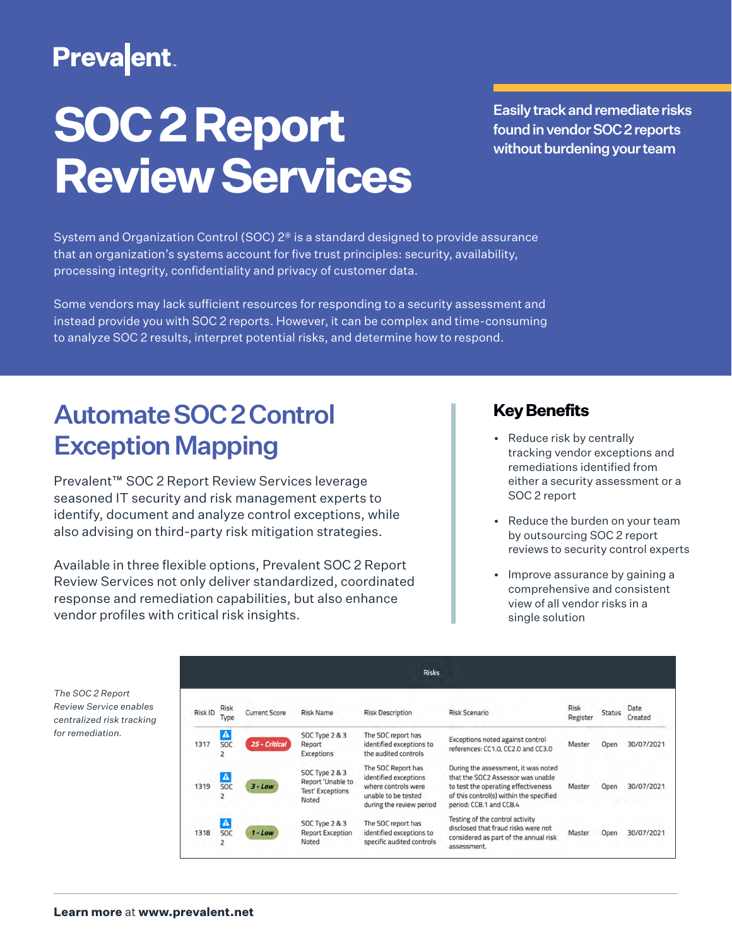## **Preva**ent

# **SOC 2 Report Review Services**

Easily track and remediate risks found in vendor SOC 2 reports without burdening your team

System and Organization Control (SOC)  $2^{\circ}$  is a standard designed to provide assurance that an organization's systems account for five trust principles: security, availability, processing integrity, confidentiality and privacy of customer data.

Some vendors may lack sufficient resources for responding to a security assessment and instead provide you with SOC 2 reports. However, it can be complex and time-consuming to analyze SOC 2 results, interpret potential risks, and determine how to respond.

## Automate SOC 2 Control Exception Mapping

Prevalent™ SOC 2 Report Review Services leverage seasoned IT security and risk management experts to identify, document and analyze control exceptions, while also advising on third-party risk mitigation strategies.

Available in three flexible options, Prevalent SOC 2 Report Review Services not only deliver standardized, coordinated response and remediation capabilities, but also enhance vendor profiles with critical risk insights.

#### **Key Benefits**

- Reduce risk by centrally tracking vendor exceptions and remediations identified from either a security assessment or a SOC 2 report
- Reduce the burden on your team by outsourcing SOC 2 report reviews to security control experts
- Improve assurance by gaining a comprehensive and consistent view of all vendor risks in a single solution

| The SOC 2 Report          |
|---------------------------|
| Review Service enables    |
| centralized risk tracking |
| for remediation.          |

|         |                                     |                      |                                                                                    | <b>Risks</b>                                                                                                          |                                                                                                                                                                                       |                         |        |                 |
|---------|-------------------------------------|----------------------|------------------------------------------------------------------------------------|-----------------------------------------------------------------------------------------------------------------------|---------------------------------------------------------------------------------------------------------------------------------------------------------------------------------------|-------------------------|--------|-----------------|
| Risk ID | Risk<br>Type                        | <b>Current Score</b> | <b>Risk Name</b>                                                                   | <b>Risk Description</b>                                                                                               | <b>Risk Scenario</b>                                                                                                                                                                  | <b>Risk</b><br>Register | Status | Date<br>Created |
| 1317    | $\blacktriangle$<br><b>SOC</b>      | 25 - Critical        | SOC Type 2 & 3<br>Report<br>Exceptions                                             | The SOC report has<br>identified exceptions to<br>the audited controls.                                               | Exceptions noted against control<br>references: CC1.0, CC2.0 and CC3.0                                                                                                                | Master                  | Open   | 30/07/2021      |
| 1319    | $\blacktriangle$<br><b>SOC</b>      | $3 - Low$            | <b>SOC Type 2 &amp; 3</b><br>Report 'Unable to<br><b>Test' Exceptions</b><br>Noted | The SOC Report has<br>identified exceptions<br>where controls were<br>unable to be tested<br>during the review period | During the assessment, it was noted<br>that the SOC2 Assessor was unable<br>to test the operating effectiveness<br>of this control(s) within the specified<br>period: CC8.1 and CC8.4 | Master                  | Open   | 30/07/2021      |
| 1318    | $\blacktriangle$<br><b>SOC</b><br>2 | $1 - Low$            | <b>SOC Type 2 &amp; 3</b><br><b>Report Exception</b><br>Noted                      | The SOC report has<br>identified exceptions to<br>specific audited controls                                           | Testing of the control activity<br>disclosed that fraud risks were not<br>considered as part of the annual risk<br>assessment.                                                        | Master                  | Open   | 30/07/2021      |